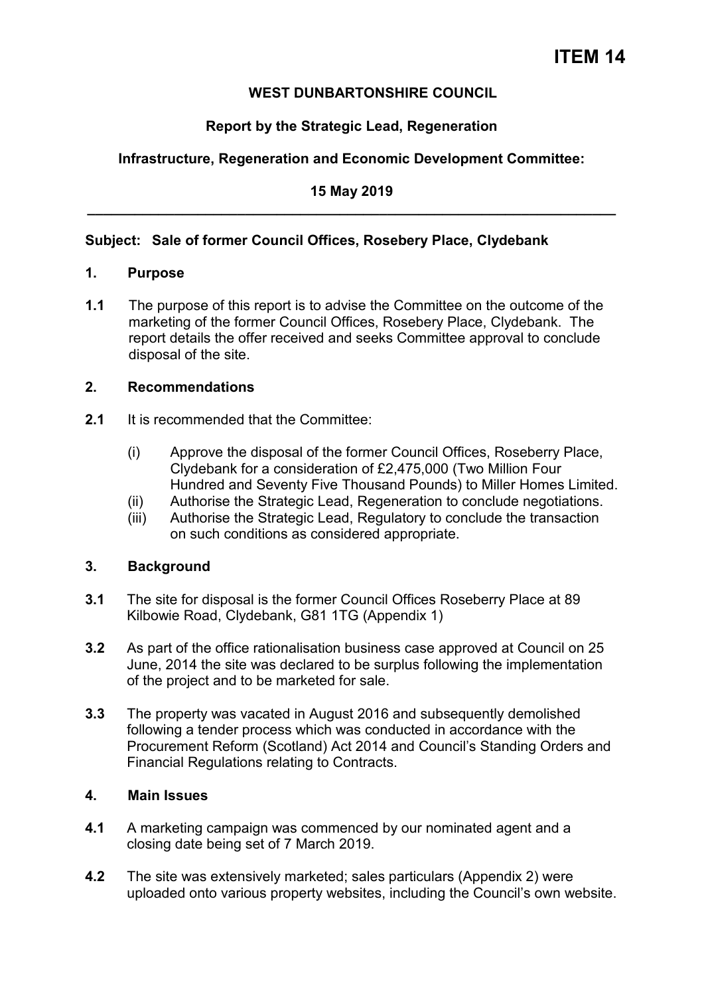# **WEST DUNBARTONSHIRE COUNCIL**

# **Report by the Strategic Lead, Regeneration**

# **Infrastructure, Regeneration and Economic Development Committee:**

# **15 May 2019 \_\_\_\_\_\_\_\_\_\_\_\_\_\_\_\_\_\_\_\_\_\_\_\_\_\_\_\_\_\_\_\_\_\_\_\_\_\_\_\_\_\_\_\_\_\_\_\_\_\_\_\_\_\_\_\_\_\_\_\_\_\_\_\_\_\_\_**

# **Subject: Sale of former Council Offices, Rosebery Place, Clydebank**

## **1. Purpose**

**1.1** The purpose of this report is to advise the Committee on the outcome of the marketing of the former Council Offices, Rosebery Place, Clydebank. The report details the offer received and seeks Committee approval to conclude disposal of the site.

## **2. Recommendations**

- **2.1** It is recommended that the Committee:
	- (i) Approve the disposal of the former Council Offices, Roseberry Place, Clydebank for a consideration of £2,475,000 (Two Million Four Hundred and Seventy Five Thousand Pounds) to Miller Homes Limited.
	- (ii) Authorise the Strategic Lead, Regeneration to conclude negotiations.
	- (iii) Authorise the Strategic Lead, Regulatory to conclude the transaction on such conditions as considered appropriate.

# **3. Background**

- **3.1** The site for disposal is the former Council Offices Roseberry Place at 89 Kilbowie Road, Clydebank, G81 1TG (Appendix 1)
- **3.2** As part of the office rationalisation business case approved at Council on 25 June, 2014 the site was declared to be surplus following the implementation of the project and to be marketed for sale.
- **3.3** The property was vacated in August 2016 and subsequently demolished following a tender process which was conducted in accordance with the Procurement Reform (Scotland) Act 2014 and Council's Standing Orders and Financial Regulations relating to Contracts.

# **4. Main Issues**

- **4.1** A marketing campaign was commenced by our nominated agent and a closing date being set of 7 March 2019.
- **4.2** The site was extensively marketed; sales particulars (Appendix 2) were uploaded onto various property websites, including the Council's own website.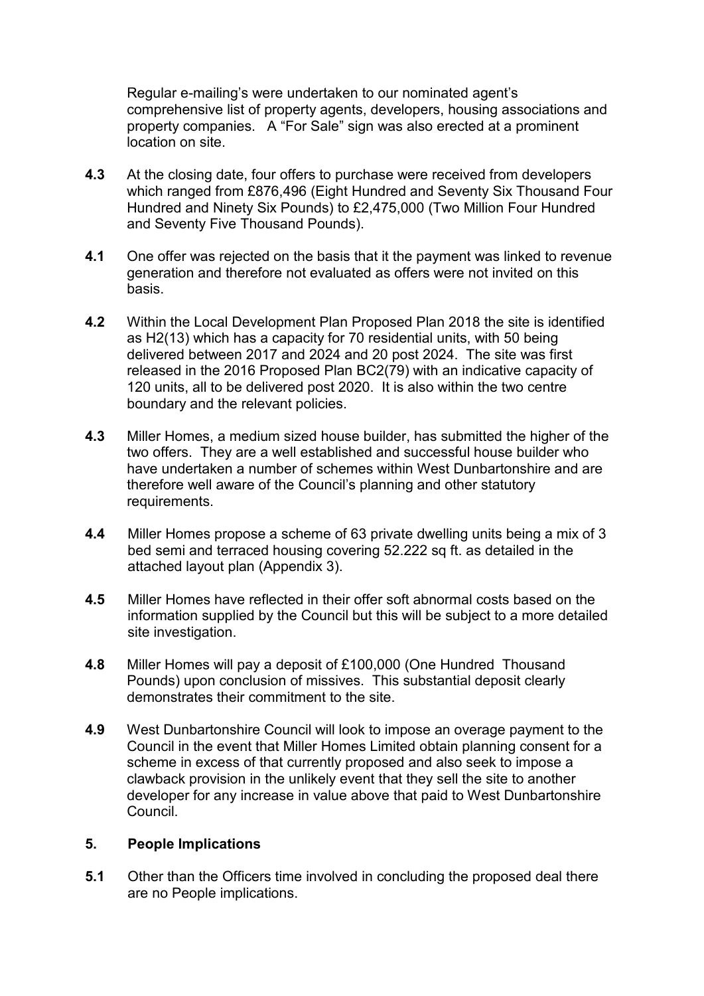Regular e-mailing's were undertaken to our nominated agent's comprehensive list of property agents, developers, housing associations and property companies. A "For Sale" sign was also erected at a prominent location on site.

- **4.3** At the closing date, four offers to purchase were received from developers which ranged from £876,496 (Eight Hundred and Seventy Six Thousand Four Hundred and Ninety Six Pounds) to £2,475,000 (Two Million Four Hundred and Seventy Five Thousand Pounds).
- **4.1** One offer was rejected on the basis that it the payment was linked to revenue generation and therefore not evaluated as offers were not invited on this basis.
- **4.2** Within the Local Development Plan Proposed Plan 2018 the site is identified as H2(13) which has a capacity for 70 residential units, with 50 being delivered between 2017 and 2024 and 20 post 2024. The site was first released in the 2016 Proposed Plan BC2(79) with an indicative capacity of 120 units, all to be delivered post 2020. It is also within the two centre boundary and the relevant policies.
- **4.3** Miller Homes, a medium sized house builder, has submitted the higher of the two offers. They are a well established and successful house builder who have undertaken a number of schemes within West Dunbartonshire and are therefore well aware of the Council's planning and other statutory requirements.
- **4.4** Miller Homes propose a scheme of 63 private dwelling units being a mix of 3 bed semi and terraced housing covering 52.222 sq ft. as detailed in the attached layout plan (Appendix 3).
- **4.5** Miller Homes have reflected in their offer soft abnormal costs based on the information supplied by the Council but this will be subject to a more detailed site investigation.
- **4.8** Miller Homes will pay a deposit of £100,000 (One Hundred Thousand Pounds) upon conclusion of missives. This substantial deposit clearly demonstrates their commitment to the site.
- **4.9** West Dunbartonshire Council will look to impose an overage payment to the Council in the event that Miller Homes Limited obtain planning consent for a scheme in excess of that currently proposed and also seek to impose a clawback provision in the unlikely event that they sell the site to another developer for any increase in value above that paid to West Dunbartonshire Council.

#### **5. People Implications**

**5.1** Other than the Officers time involved in concluding the proposed deal there are no People implications.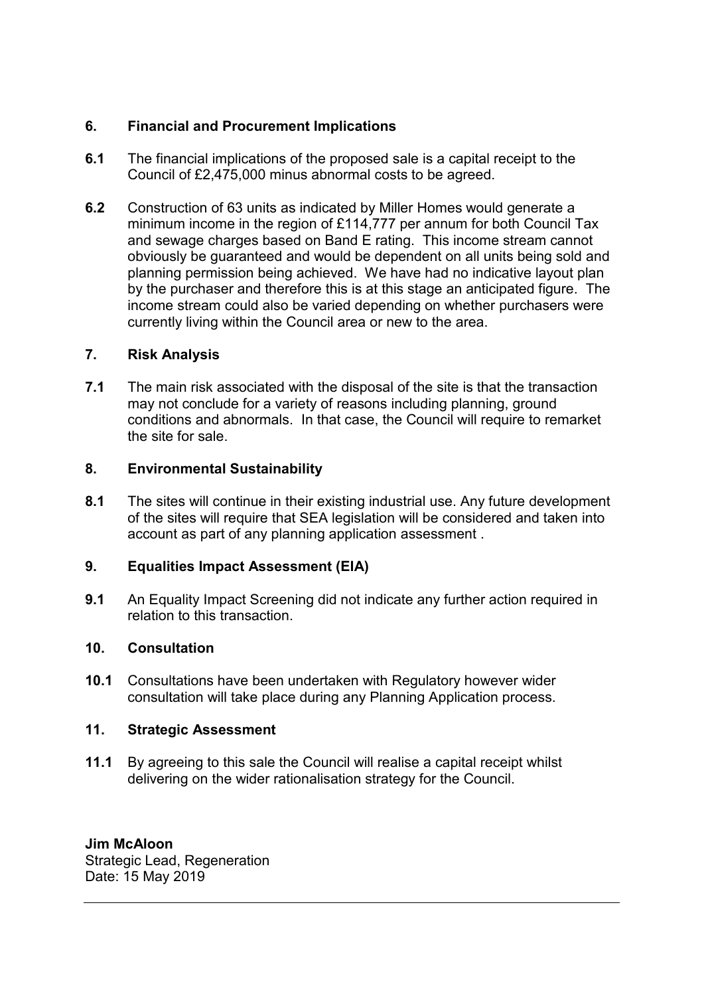# **6. Financial and Procurement Implications**

- **6.1** The financial implications of the proposed sale is a capital receipt to the Council of £2,475,000 minus abnormal costs to be agreed.
- **6.2** Construction of 63 units as indicated by Miller Homes would generate a minimum income in the region of £114,777 per annum for both Council Tax and sewage charges based on Band E rating. This income stream cannot obviously be guaranteed and would be dependent on all units being sold and planning permission being achieved. We have had no indicative layout plan by the purchaser and therefore this is at this stage an anticipated figure. The income stream could also be varied depending on whether purchasers were currently living within the Council area or new to the area.

# **7. Risk Analysis**

**7.1** The main risk associated with the disposal of the site is that the transaction may not conclude for a variety of reasons including planning, ground conditions and abnormals. In that case, the Council will require to remarket the site for sale.

# **8. Environmental Sustainability**

**8.1** The sites will continue in their existing industrial use. Any future development of the sites will require that SEA legislation will be considered and taken into account as part of any planning application assessment .

# **9. Equalities Impact Assessment (EIA)**

**9.1** An Equality Impact Screening did not indicate any further action required in relation to this transaction.

# **10. Consultation**

**10.1** Consultations have been undertaken with Regulatory however wider consultation will take place during any Planning Application process.

# **11. Strategic Assessment**

**11.1** By agreeing to this sale the Council will realise a capital receipt whilst delivering on the wider rationalisation strategy for the Council.

# **Jim McAloon**

Strategic Lead, Regeneration Date: 15 May 2019